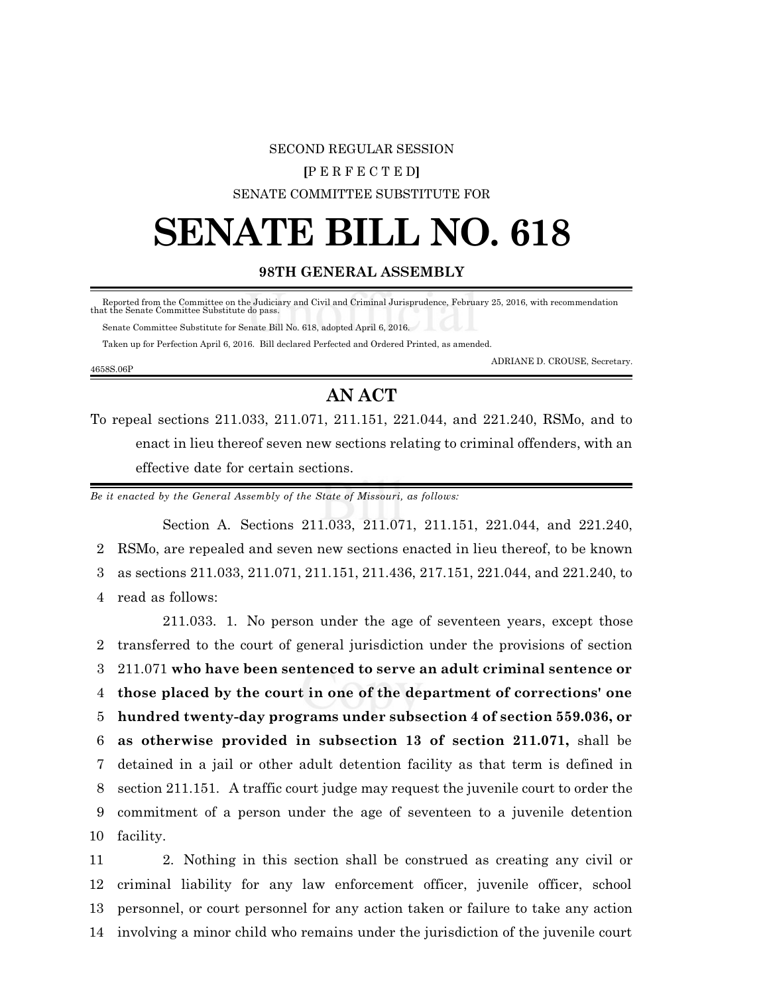#### SECOND REGULAR SESSION

#### **[**P E R F E C T E D**]**

SENATE COMMITTEE SUBSTITUTE FOR

# **SENATE BILL NO. 618**

### **98TH GENERAL ASSEMBLY**

 Reported from the Committee on the Judiciary and Civil and Criminal Jurisprudence, February 25, 2016, with recommendation that the Senate Committee Substitute do pass.

Senate Committee Substitute for Senate Bill No. 618, adopted April 6, 2016.

Taken up for Perfection April 6, 2016. Bill declared Perfected and Ordered Printed, as amended.

#### 4658S.06P

ADRIANE D. CROUSE, Secretary.

## **AN ACT**

To repeal sections 211.033, 211.071, 211.151, 221.044, and 221.240, RSMo, and to enact in lieu thereof seven new sections relating to criminal offenders, with an effective date for certain sections.

*Be it enacted by the General Assembly of the State of Missouri, as follows:*

Section A. Sections 211.033, 211.071, 211.151, 221.044, and 221.240, RSMo, are repealed and seven new sections enacted in lieu thereof, to be known as sections 211.033, 211.071, 211.151, 211.436, 217.151, 221.044, and 221.240, to read as follows:

211.033. 1. No person under the age of seventeen years, except those transferred to the court of general jurisdiction under the provisions of section 211.071 **who have been sentenced to serve an adult criminal sentence or those placed by the court in one of the department of corrections' one hundred twenty-day programs under subsection 4 of section 559.036, or as otherwise provided in subsection 13 of section 211.071,** shall be detained in a jail or other adult detention facility as that term is defined in section 211.151. A traffic court judge may request the juvenile court to order the commitment of a person under the age of seventeen to a juvenile detention facility.

 2. Nothing in this section shall be construed as creating any civil or criminal liability for any law enforcement officer, juvenile officer, school personnel, or court personnel for any action taken or failure to take any action involving a minor child who remains under the jurisdiction of the juvenile court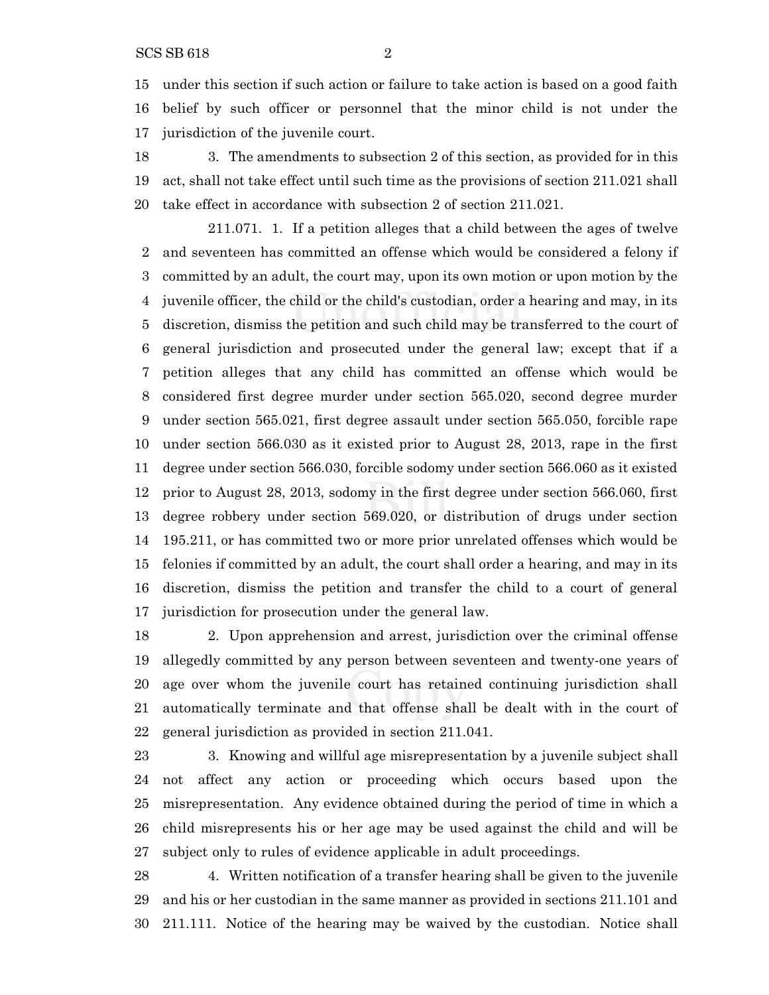under this section if such action or failure to take action is based on a good faith belief by such officer or personnel that the minor child is not under the jurisdiction of the juvenile court.

 3. The amendments to subsection 2 of this section, as provided for in this act, shall not take effect until such time as the provisions of section 211.021 shall take effect in accordance with subsection 2 of section 211.021.

211.071. 1. If a petition alleges that a child between the ages of twelve and seventeen has committed an offense which would be considered a felony if committed by an adult, the court may, upon its own motion or upon motion by the juvenile officer, the child or the child's custodian, order a hearing and may, in its discretion, dismiss the petition and such child may be transferred to the court of general jurisdiction and prosecuted under the general law; except that if a petition alleges that any child has committed an offense which would be considered first degree murder under section 565.020, second degree murder under section 565.021, first degree assault under section 565.050, forcible rape under section 566.030 as it existed prior to August 28, 2013, rape in the first degree under section 566.030, forcible sodomy under section 566.060 as it existed prior to August 28, 2013, sodomy in the first degree under section 566.060, first degree robbery under section 569.020, or distribution of drugs under section 195.211, or has committed two or more prior unrelated offenses which would be felonies if committed by an adult, the court shall order a hearing, and may in its discretion, dismiss the petition and transfer the child to a court of general jurisdiction for prosecution under the general law.

 2. Upon apprehension and arrest, jurisdiction over the criminal offense allegedly committed by any person between seventeen and twenty-one years of age over whom the juvenile court has retained continuing jurisdiction shall automatically terminate and that offense shall be dealt with in the court of general jurisdiction as provided in section 211.041.

 3. Knowing and willful age misrepresentation by a juvenile subject shall not affect any action or proceeding which occurs based upon the misrepresentation. Any evidence obtained during the period of time in which a child misrepresents his or her age may be used against the child and will be subject only to rules of evidence applicable in adult proceedings.

 4. Written notification of a transfer hearing shall be given to the juvenile and his or her custodian in the same manner as provided in sections 211.101 and 211.111. Notice of the hearing may be waived by the custodian. Notice shall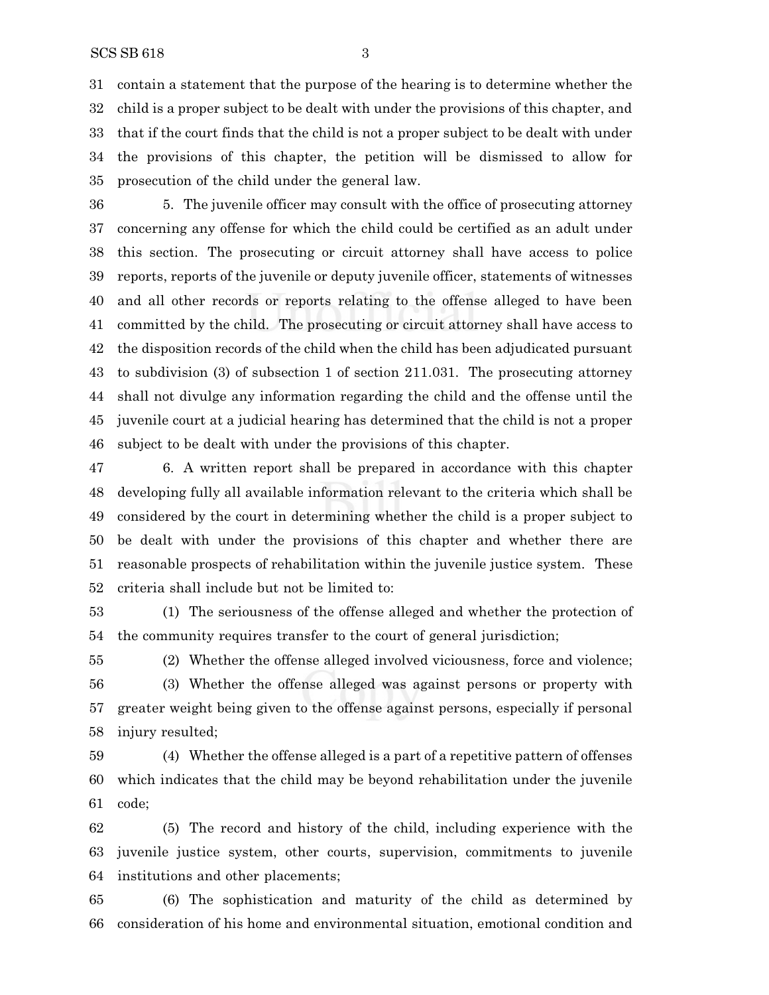contain a statement that the purpose of the hearing is to determine whether the child is a proper subject to be dealt with under the provisions of this chapter, and that if the court finds that the child is not a proper subject to be dealt with under the provisions of this chapter, the petition will be dismissed to allow for prosecution of the child under the general law.

 5. The juvenile officer may consult with the office of prosecuting attorney concerning any offense for which the child could be certified as an adult under this section. The prosecuting or circuit attorney shall have access to police reports, reports of the juvenile or deputy juvenile officer, statements of witnesses and all other records or reports relating to the offense alleged to have been committed by the child. The prosecuting or circuit attorney shall have access to the disposition records of the child when the child has been adjudicated pursuant to subdivision (3) of subsection 1 of section 211.031. The prosecuting attorney shall not divulge any information regarding the child and the offense until the juvenile court at a judicial hearing has determined that the child is not a proper subject to be dealt with under the provisions of this chapter.

 6. A written report shall be prepared in accordance with this chapter developing fully all available information relevant to the criteria which shall be considered by the court in determining whether the child is a proper subject to be dealt with under the provisions of this chapter and whether there are reasonable prospects of rehabilitation within the juvenile justice system. These criteria shall include but not be limited to:

 (1) The seriousness of the offense alleged and whether the protection of the community requires transfer to the court of general jurisdiction;

 (2) Whether the offense alleged involved viciousness, force and violence; (3) Whether the offense alleged was against persons or property with greater weight being given to the offense against persons, especially if personal injury resulted;

 (4) Whether the offense alleged is a part of a repetitive pattern of offenses which indicates that the child may be beyond rehabilitation under the juvenile code;

 (5) The record and history of the child, including experience with the juvenile justice system, other courts, supervision, commitments to juvenile institutions and other placements;

 (6) The sophistication and maturity of the child as determined by consideration of his home and environmental situation, emotional condition and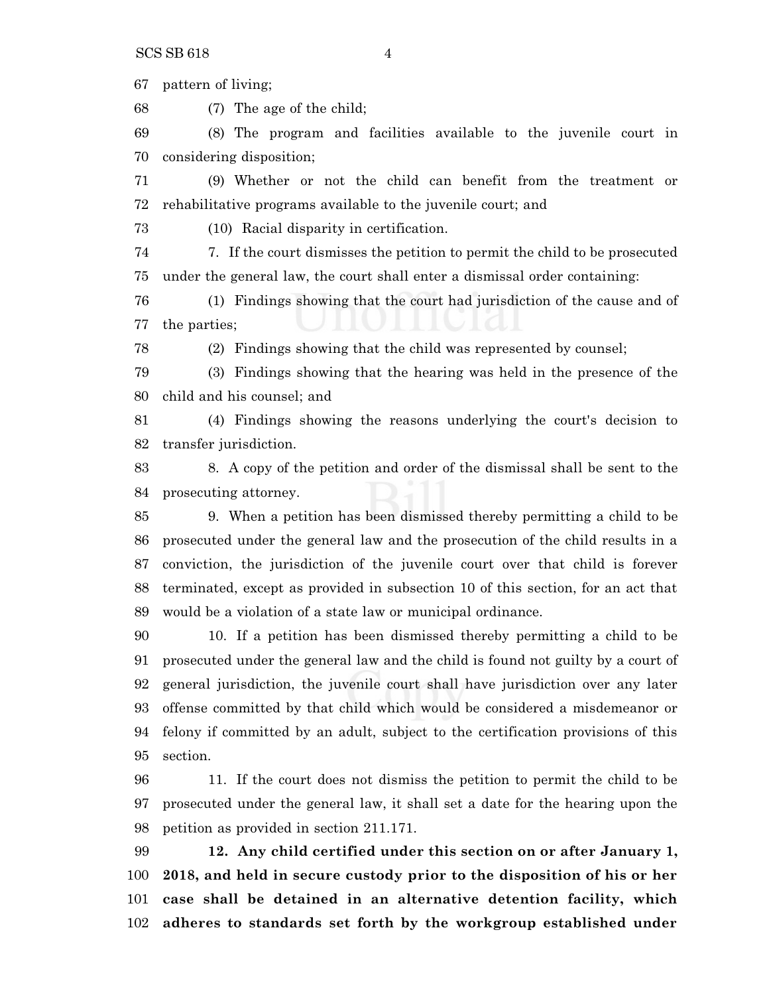pattern of living;

(7) The age of the child;

 (8) The program and facilities available to the juvenile court in considering disposition;

 (9) Whether or not the child can benefit from the treatment or rehabilitative programs available to the juvenile court; and

(10) Racial disparity in certification.

 7. If the court dismisses the petition to permit the child to be prosecuted under the general law, the court shall enter a dismissal order containing:

 (1) Findings showing that the court had jurisdiction of the cause and of the parties;

(2) Findings showing that the child was represented by counsel;

 (3) Findings showing that the hearing was held in the presence of the child and his counsel; and

 (4) Findings showing the reasons underlying the court's decision to transfer jurisdiction.

 8. A copy of the petition and order of the dismissal shall be sent to the prosecuting attorney.

 9. When a petition has been dismissed thereby permitting a child to be prosecuted under the general law and the prosecution of the child results in a conviction, the jurisdiction of the juvenile court over that child is forever terminated, except as provided in subsection 10 of this section, for an act that would be a violation of a state law or municipal ordinance.

 10. If a petition has been dismissed thereby permitting a child to be prosecuted under the general law and the child is found not guilty by a court of general jurisdiction, the juvenile court shall have jurisdiction over any later offense committed by that child which would be considered a misdemeanor or felony if committed by an adult, subject to the certification provisions of this section.

 11. If the court does not dismiss the petition to permit the child to be prosecuted under the general law, it shall set a date for the hearing upon the petition as provided in section 211.171.

 **12. Any child certified under this section on or after January 1, 2018, and held in secure custody prior to the disposition of his or her case shall be detained in an alternative detention facility, which adheres to standards set forth by the workgroup established under**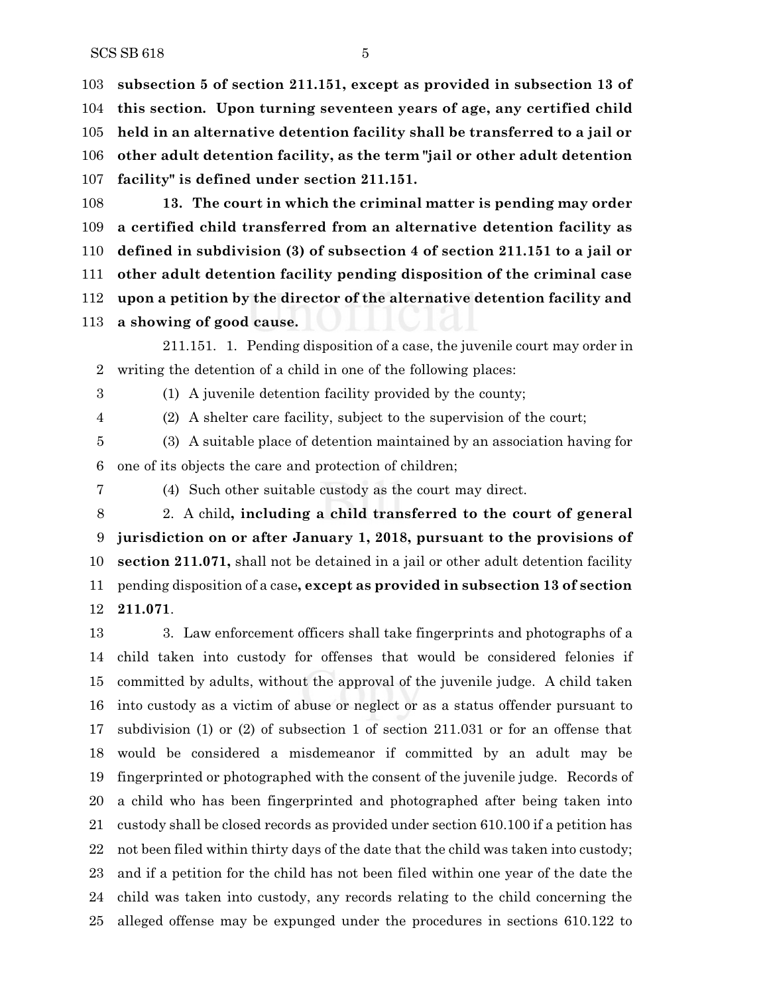**subsection 5 of section 211.151, except as provided in subsection 13 of this section. Upon turning seventeen years of age, any certified child held in an alternative detention facility shall be transferred to a jail or other adult detention facility, as the term "jail or other adult detention facility" is defined under section 211.151.**

 **13. The court in which the criminal matter is pending may order a certified child transferred from an alternative detention facility as defined in subdivision (3) of subsection 4 of section 211.151 to a jail or other adult detention facility pending disposition of the criminal case upon a petition by the director of the alternative detention facility and a showing of good cause.**

211.151. 1. Pending disposition of a case, the juvenile court may order in writing the detention of a child in one of the following places:

(1) A juvenile detention facility provided by the county;

(2) A shelter care facility, subject to the supervision of the court;

 (3) A suitable place of detention maintained by an association having for one of its objects the care and protection of children;

(4) Such other suitable custody as the court may direct.

 2. A child**, including a child transferred to the court of general jurisdiction on or after January 1, 2018, pursuant to the provisions of section 211.071,** shall not be detained in a jail or other adult detention facility pending disposition of a case**, except as provided in subsection 13 of section 211.071**.

 3. Law enforcement officers shall take fingerprints and photographs of a child taken into custody for offenses that would be considered felonies if committed by adults, without the approval of the juvenile judge. A child taken into custody as a victim of abuse or neglect or as a status offender pursuant to subdivision (1) or (2) of subsection 1 of section 211.031 or for an offense that would be considered a misdemeanor if committed by an adult may be fingerprinted or photographed with the consent of the juvenile judge. Records of a child who has been fingerprinted and photographed after being taken into custody shall be closed records as provided under section 610.100 if a petition has not been filed within thirty days of the date that the child was taken into custody; and if a petition for the child has not been filed within one year of the date the child was taken into custody, any records relating to the child concerning the alleged offense may be expunged under the procedures in sections 610.122 to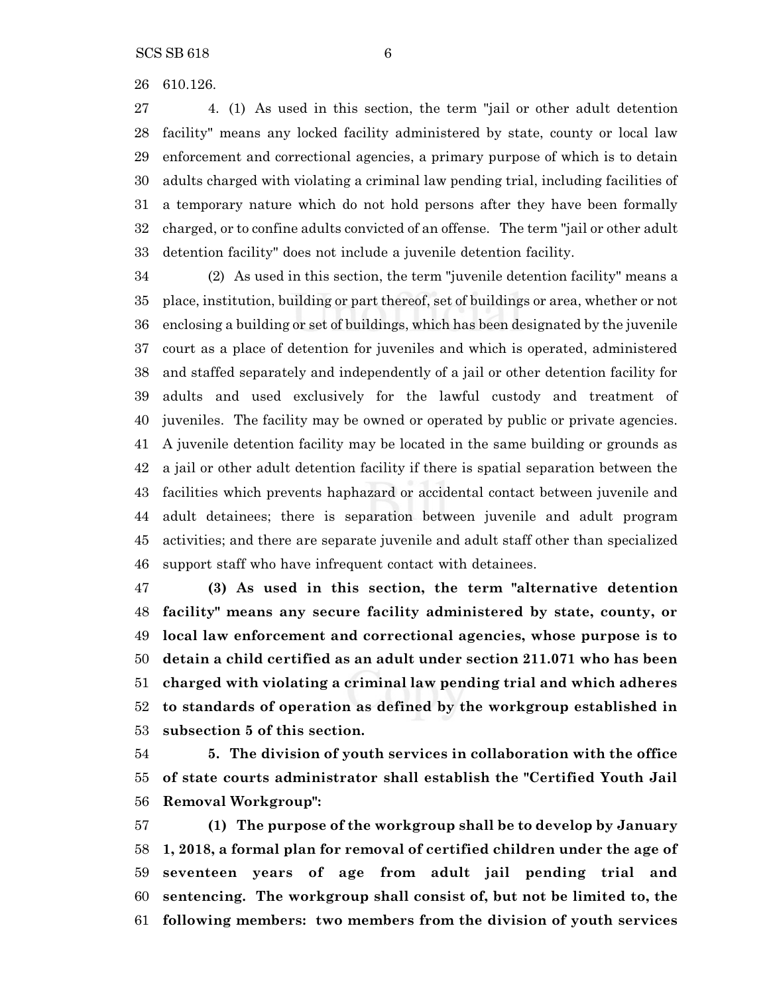610.126.

 4. (1) As used in this section, the term "jail or other adult detention facility" means any locked facility administered by state, county or local law enforcement and correctional agencies, a primary purpose of which is to detain adults charged with violating a criminal law pending trial, including facilities of a temporary nature which do not hold persons after they have been formally charged, or to confine adults convicted of an offense. The term "jail or other adult detention facility" does not include a juvenile detention facility.

 (2) As used in this section, the term "juvenile detention facility" means a place, institution, building or part thereof, set of buildings or area, whether or not enclosing a building or set of buildings, which has been designated by the juvenile court as a place of detention for juveniles and which is operated, administered and staffed separately and independently of a jail or other detention facility for adults and used exclusively for the lawful custody and treatment of juveniles. The facility may be owned or operated by public or private agencies. A juvenile detention facility may be located in the same building or grounds as a jail or other adult detention facility if there is spatial separation between the facilities which prevents haphazard or accidental contact between juvenile and adult detainees; there is separation between juvenile and adult program activities; and there are separate juvenile and adult staff other than specialized support staff who have infrequent contact with detainees.

 **(3) As used in this section, the term "alternative detention facility" means any secure facility administered by state, county, or local law enforcement and correctional agencies, whose purpose is to detain a child certified as an adult under section 211.071 who has been charged with violating a criminal law pending trial and which adheres to standards of operation as defined by the workgroup established in subsection 5 of this section.**

 **5. The division of youth services in collaboration with the office of state courts administrator shall establish the "Certified Youth Jail Removal Workgroup":**

 **(1) The purpose of the workgroup shall be to develop by January 1, 2018, a formal plan for removal of certified children under the age of seventeen years of age from adult jail pending trial and sentencing. The workgroup shall consist of, but not be limited to, the following members: two members from the division of youth services**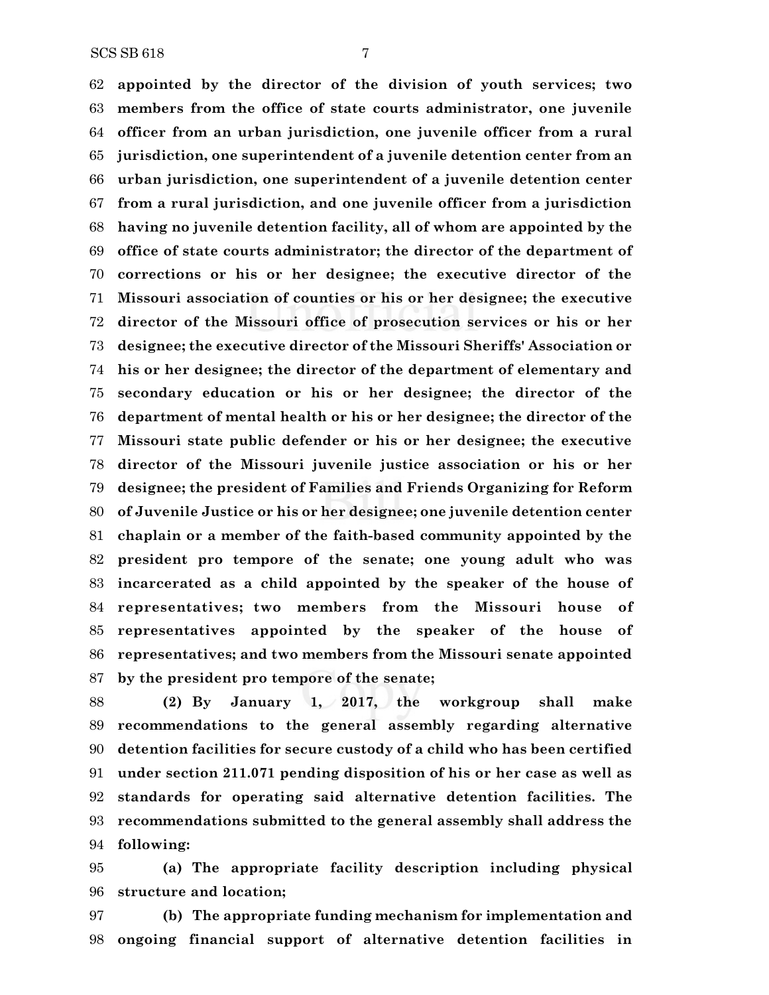**appointed by the director of the division of youth services; two members from the office of state courts administrator, one juvenile officer from an urban jurisdiction, one juvenile officer from a rural jurisdiction, one superintendent of a juvenile detention center from an urban jurisdiction, one superintendent of a juvenile detention center from a rural jurisdiction, and one juvenile officer from a jurisdiction having no juvenile detention facility, all of whom are appointed by the office of state courts administrator; the director of the department of corrections or his or her designee; the executive director of the Missouri association of counties or his or her designee; the executive director of the Missouri office of prosecution services or his or her designee; the executive director of the Missouri Sheriffs' Association or his or her designee; the director of the department of elementary and secondary education or his or her designee; the director of the department of mental health or his or her designee; the director of the Missouri state public defender or his or her designee; the executive director of the Missouri juvenile justice association or his or her designee; the president of Families and Friends Organizing for Reform of Juvenile Justice or his or her designee; one juvenile detention center chaplain or a member of the faith-based community appointed by the president pro tempore of the senate; one young adult who was incarcerated as a child appointed by the speaker of the house of representatives; two members from the Missouri house of representatives appointed by the speaker of the house of representatives; and two members from the Missouri senate appointed by the president pro tempore of the senate;**

 **(2) By January 1, 2017, the workgroup shall make recommendations to the general assembly regarding alternative detention facilities for secure custody of a child who has been certified under section 211.071 pending disposition of his or her case as well as standards for operating said alternative detention facilities. The recommendations submitted to the general assembly shall address the following:**

 **(a) The appropriate facility description including physical structure and location;**

 **(b) The appropriate funding mechanism for implementation and ongoing financial support of alternative detention facilities in**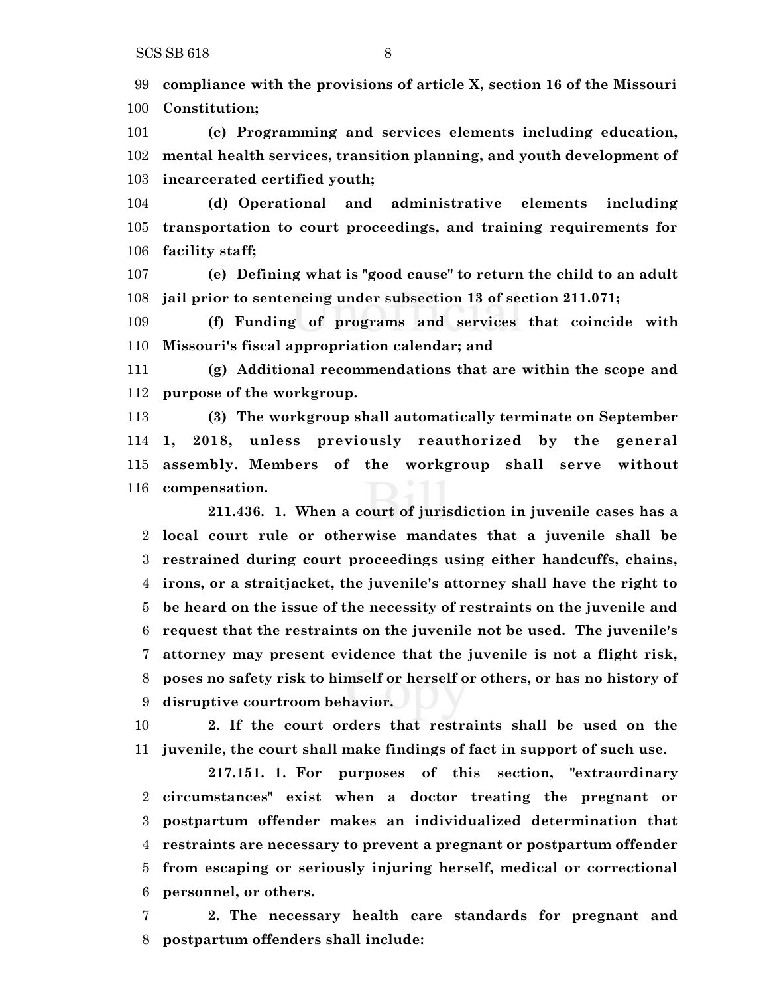**compliance with the provisions of article X, section 16 of the Missouri Constitution;**

 **(c) Programming and services elements including education, mental health services, transition planning, and youth development of incarcerated certified youth;**

 **(d) Operational and administrative elements including transportation to court proceedings, and training requirements for facility staff;**

 **(e) Defining what is "good cause" to return the child to an adult jail prior to sentencing under subsection 13 of section 211.071;**

 **(f) Funding of programs and services that coincide with Missouri's fiscal appropriation calendar; and**

 **(g) Additional recommendations that are within the scope and purpose of the workgroup.**

 **(3) The workgroup shall automatically terminate on September 1, 2018, unless previously reauthorized by the general assembly. Members of the workgroup shall serve without compensation.**

**211.436. 1. When a court of jurisdiction in juvenile cases has a local court rule or otherwise mandates that a juvenile shall be restrained during court proceedings using either handcuffs, chains, irons, or a straitjacket, the juvenile's attorney shall have the right to be heard on the issue of the necessity of restraints on the juvenile and request that the restraints on the juvenile not be used. The juvenile's attorney may present evidence that the juvenile is not a flight risk, poses no safety risk to himself or herself or others, or has no history of disruptive courtroom behavior.**

 **2. If the court orders that restraints shall be used on the juvenile, the court shall make findings of fact in support of such use.**

**217.151. 1. For purposes of this section, "extraordinary circumstances" exist when a doctor treating the pregnant or postpartum offender makes an individualized determination that restraints are necessary to prevent a pregnant or postpartum offender from escaping or seriously injuring herself, medical or correctional personnel, or others.**

 **2. The necessary health care standards for pregnant and postpartum offenders shall include:**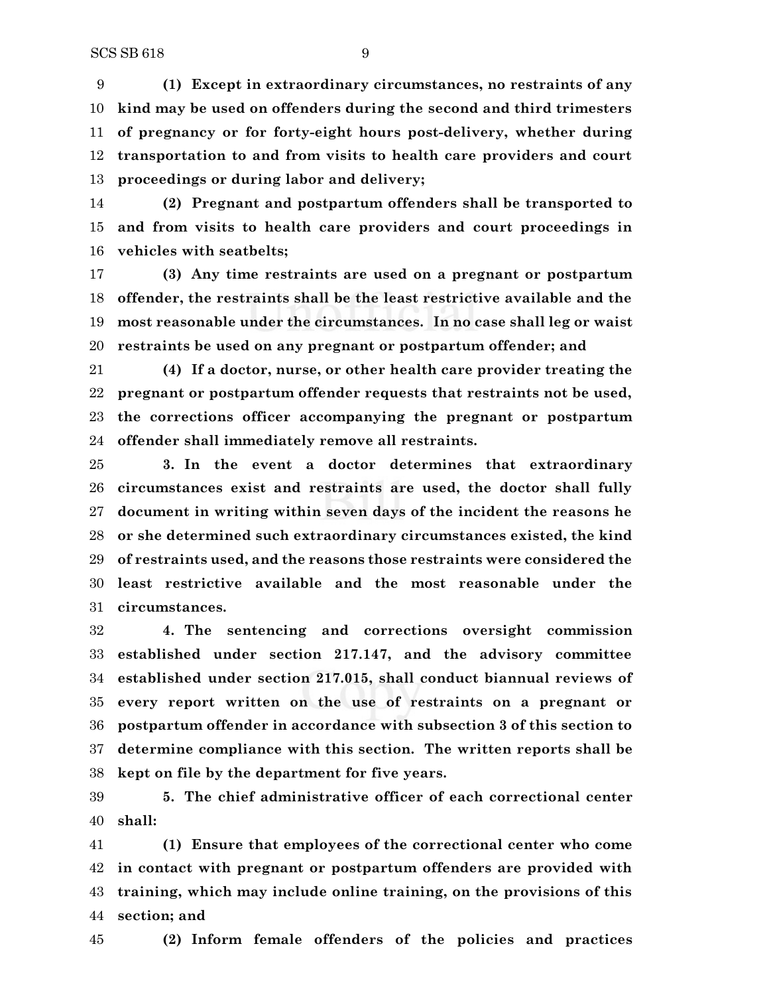**(1) Except in extraordinary circumstances, no restraints of any kind may be used on offenders during the second and third trimesters of pregnancy or for forty-eight hours post-delivery, whether during transportation to and from visits to health care providers and court proceedings or during labor and delivery;**

 **(2) Pregnant and postpartum offenders shall be transported to and from visits to health care providers and court proceedings in vehicles with seatbelts;**

 **(3) Any time restraints are used on a pregnant or postpartum offender, the restraints shall be the least restrictive available and the most reasonable under the circumstances. In no case shall leg or waist restraints be used on any pregnant or postpartum offender; and**

 **(4) If a doctor, nurse, or other health care provider treating the pregnant or postpartum offender requests that restraints not be used, the corrections officer accompanying the pregnant or postpartum offender shall immediately remove all restraints.**

 **3. In the event a doctor determines that extraordinary circumstances exist and restraints are used, the doctor shall fully document in writing within seven days of the incident the reasons he or she determined such extraordinary circumstances existed, the kind of restraints used, and the reasons those restraints were considered the least restrictive available and the most reasonable under the circumstances.**

 **4. The sentencing and corrections oversight commission established under section 217.147, and the advisory committee established under section 217.015, shall conduct biannual reviews of every report written on the use of restraints on a pregnant or postpartum offender in accordance with subsection 3 of this section to determine compliance with this section. The written reports shall be kept on file by the department for five years.**

 **5. The chief administrative officer of each correctional center shall:**

 **(1) Ensure that employees of the correctional center who come in contact with pregnant or postpartum offenders are provided with training, which may include online training, on the provisions of this section; and**

**(2) Inform female offenders of the policies and practices**